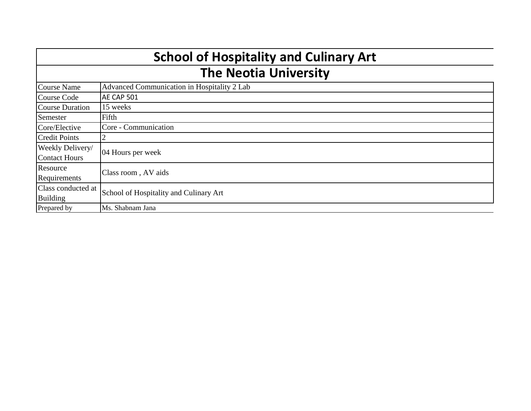| <b>School of Hospitality and Culinary Art</b> |                                             |  |  |  |  |  |
|-----------------------------------------------|---------------------------------------------|--|--|--|--|--|
| <b>The Neotia University</b>                  |                                             |  |  |  |  |  |
| Course Name                                   | Advanced Communication in Hospitality 2 Lab |  |  |  |  |  |
| <b>Course Code</b>                            | AE CAP 501                                  |  |  |  |  |  |
| Course Duration                               | 15 weeks                                    |  |  |  |  |  |
| Semester                                      | Fifth                                       |  |  |  |  |  |
| Core/Elective                                 | Core - Communication                        |  |  |  |  |  |
| <b>Credit Points</b>                          | $\overline{2}$                              |  |  |  |  |  |
| Weekly Delivery/                              | 04 Hours per week                           |  |  |  |  |  |
| <b>Contact Hours</b>                          |                                             |  |  |  |  |  |
| Resource                                      | Class room, AV aids                         |  |  |  |  |  |
| Requirements                                  |                                             |  |  |  |  |  |
| Class conducted at                            | School of Hospitality and Culinary Art      |  |  |  |  |  |
| <b>Building</b>                               |                                             |  |  |  |  |  |
| Prepared by                                   | Ms. Shabnam Jana                            |  |  |  |  |  |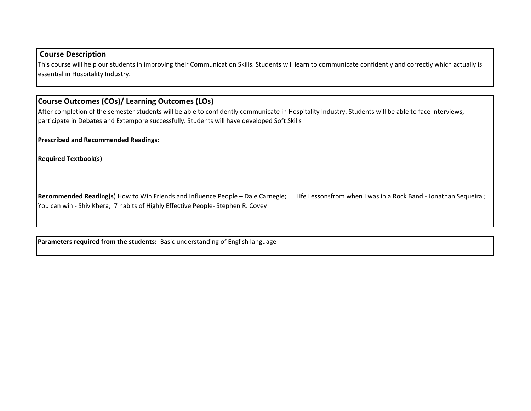## **Course Description**

This course will help our students in improving their Communication Skills. Students will learn to communicate confidently and correctly which actually is essential in Hospitality Industry.

## **Course Outcomes (COs)/ Learning Outcomes (LOs)**

After completion of the semester students will be able to confidently communicate in Hospitality Industry. Students will be able to face Interviews, participate in Debates and Extempore successfully. Students will have developed Soft Skills

**Prescribed and Recommended Readings:**

**Required Textbook(s)**

**Recommended Reading(s**) How to Win Friends and Influence People – Dale Carnegie; Life Lessonsfrom when I was in a Rock Band - Jonathan Sequeira ; You can win - Shiv Khera; 7 habits of Highly Effective People- Stephen R. Covey

**Parameters required from the students:** Basic understanding of English language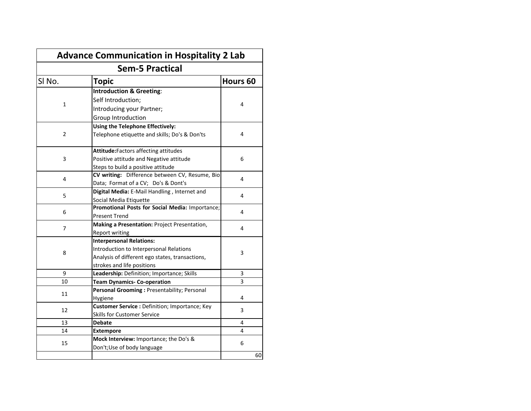| <b>Advance Communication in Hospitality 2 Lab</b> |                                                 |                     |  |  |  |  |  |  |
|---------------------------------------------------|-------------------------------------------------|---------------------|--|--|--|--|--|--|
|                                                   | <b>Sem-5 Practical</b>                          |                     |  |  |  |  |  |  |
| SI <sub>No.</sub>                                 | <b>Topic</b>                                    | Hours <sub>60</sub> |  |  |  |  |  |  |
|                                                   | <b>Introduction &amp; Greeting:</b>             |                     |  |  |  |  |  |  |
| $\mathbf{1}$                                      | Self Introduction;                              | 4                   |  |  |  |  |  |  |
|                                                   | Introducing your Partner;                       |                     |  |  |  |  |  |  |
|                                                   | Group Introduction                              |                     |  |  |  |  |  |  |
|                                                   | Using the Telephone Effectively:                |                     |  |  |  |  |  |  |
| 2                                                 | Telephone etiquette and skills; Do's & Don'ts   | 4                   |  |  |  |  |  |  |
|                                                   | Attitude: Factors affecting attitudes           |                     |  |  |  |  |  |  |
| 3                                                 | Positive attitude and Negative attitude         | 6                   |  |  |  |  |  |  |
|                                                   | Steps to build a positive attitude              |                     |  |  |  |  |  |  |
| 4                                                 | CV writing: Difference between CV, Resume, Bio  | 4                   |  |  |  |  |  |  |
|                                                   | Data; Format of a CV; Do's & Dont's             |                     |  |  |  |  |  |  |
| 5                                                 | Digital Media: E-Mail Handling, Internet and    | 4                   |  |  |  |  |  |  |
|                                                   | Social Media Etiquette                          |                     |  |  |  |  |  |  |
| 6                                                 | Promotional Posts for Social Media: Importance; | 4                   |  |  |  |  |  |  |
|                                                   | <b>Present Trend</b>                            |                     |  |  |  |  |  |  |
| 7                                                 | Making a Presentation: Project Presentation,    | 4                   |  |  |  |  |  |  |
|                                                   | <b>Report writing</b>                           |                     |  |  |  |  |  |  |
|                                                   | <b>Interpersonal Relations:</b>                 |                     |  |  |  |  |  |  |
| 8                                                 | Introduction to Interpersonal Relations         | 3                   |  |  |  |  |  |  |
|                                                   | Analysis of different ego states, transactions, |                     |  |  |  |  |  |  |
|                                                   | strokes and life positions                      |                     |  |  |  |  |  |  |
| 9                                                 | Leadership: Definition; Importance; Skills      | 3                   |  |  |  |  |  |  |
| 10                                                | <b>Team Dynamics- Co-operation</b>              | 3                   |  |  |  |  |  |  |
| 11                                                | Personal Grooming: Presentability; Personal     |                     |  |  |  |  |  |  |
|                                                   | Hygiene                                         | 4                   |  |  |  |  |  |  |
| 12                                                | Customer Service : Definition; Importance; Key  | 3                   |  |  |  |  |  |  |
|                                                   | Skills for Customer Service                     |                     |  |  |  |  |  |  |
| 13                                                | <b>Debate</b>                                   | 4                   |  |  |  |  |  |  |
| 14                                                | <b>Extempore</b>                                | 4                   |  |  |  |  |  |  |
| 15                                                | Mock Interview: Importance; the Do's &          | 6                   |  |  |  |  |  |  |
|                                                   | Don't; Use of body language                     |                     |  |  |  |  |  |  |
|                                                   |                                                 | 60                  |  |  |  |  |  |  |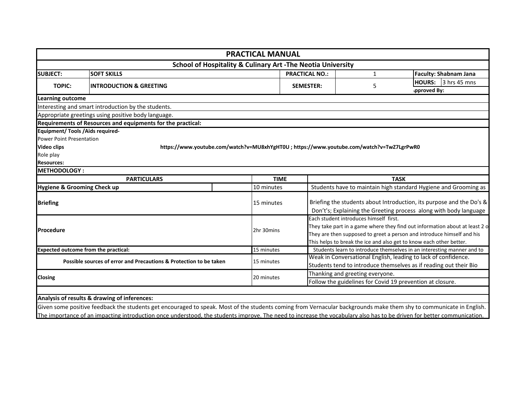|                                                               |                                                                                           | <b>PRACTICAL MANUAL</b> |                  |                                        |                                                                             |
|---------------------------------------------------------------|-------------------------------------------------------------------------------------------|-------------------------|------------------|----------------------------------------|-----------------------------------------------------------------------------|
|                                                               | <b>School of Hospitality &amp; Culinary Art - The Neotia University</b>                   |                         |                  |                                        |                                                                             |
| <b>SUBJECT:</b>                                               | <b>SOFT SKILLS</b><br><b>PRACTICAL NO.:</b>                                               |                         |                  | $\mathbf{1}$                           | <b>Faculty: Shabnam Jana</b>                                                |
| <b>TOPIC:</b>                                                 | <b>INTRODUCTION &amp; GREETING</b>                                                        |                         | <b>SEMESTER:</b> | 5                                      | 3 hrs 45 mns<br><b>HOURS:</b>                                               |
|                                                               |                                                                                           |                         |                  |                                        | pproved By:                                                                 |
| Learning outcome                                              |                                                                                           |                         |                  |                                        |                                                                             |
|                                                               | Interesting and smart introduction by the students.                                       |                         |                  |                                        |                                                                             |
|                                                               | Appropriate greetings using positive body language.                                       |                         |                  |                                        |                                                                             |
|                                                               | Requirements of Resources and equipments for the practical:                               |                         |                  |                                        |                                                                             |
| <b>Equipment/ Tools / Aids required-</b>                      |                                                                                           |                         |                  |                                        |                                                                             |
| <b>Power Point Presentation</b>                               |                                                                                           |                         |                  |                                        |                                                                             |
|                                                               |                                                                                           |                         |                  |                                        |                                                                             |
|                                                               | https://www.youtube.com/watch?v=MU8xhYgHT0U ; https://www.youtube.com/watch?v=TwZ7LgrPwR0 |                         |                  |                                        |                                                                             |
|                                                               |                                                                                           |                         |                  |                                        |                                                                             |
| <b>Video clips</b><br>Role play<br><b>Resources:</b>          |                                                                                           |                         |                  |                                        |                                                                             |
|                                                               |                                                                                           |                         |                  |                                        |                                                                             |
|                                                               | <b>PARTICULARS</b>                                                                        | <b>TIME</b>             |                  | <b>TASK</b>                            |                                                                             |
| <b>METHODOLOGY:</b><br><b>Hygiene &amp; Grooming Check up</b> |                                                                                           | 10 minutes              |                  |                                        | Students have to maintain high standard Hygiene and Grooming as             |
|                                                               |                                                                                           |                         |                  |                                        |                                                                             |
|                                                               |                                                                                           | 15 minutes              |                  |                                        | Briefing the students about Introduction, its purpose and the Do's &        |
|                                                               |                                                                                           |                         |                  |                                        | Don't's; Explaining the Greeting process along with body language           |
|                                                               |                                                                                           |                         |                  | Each student introduces himself first. |                                                                             |
|                                                               |                                                                                           | 2hr 30mins              |                  |                                        | They take part in a game where they find out information about at least 2 o |
| <b>Briefing</b><br>Procedure                                  |                                                                                           |                         |                  |                                        | They are then supposed to greet a person and introduce himself and his      |
|                                                               |                                                                                           |                         |                  |                                        | This helps to break the ice and also get to know each other better.         |
|                                                               |                                                                                           | 15 minutes              |                  |                                        | Students learn to introduce themselves in an interesting manner and to      |
|                                                               | Possible sources of error and Precautions & Protection to be taken                        | 15 minutes              |                  |                                        | Weak in Conversational English, leading to lack of confidence.              |
| <b>Expected outcome from the practical:</b><br><b>Closing</b> |                                                                                           | 20 minutes              |                  | Thanking and greeting everyone.        | Students tend to introduce themselves as if reading out their Bio           |

Given some positive feedback the students get encouraged to speak. Most of the students coming from Vernacular backgrounds make them shy to communicate in English. The importance of an impacting introduction once understood, the students improve. The need to increase the vocabulary also has to be driven for better communication.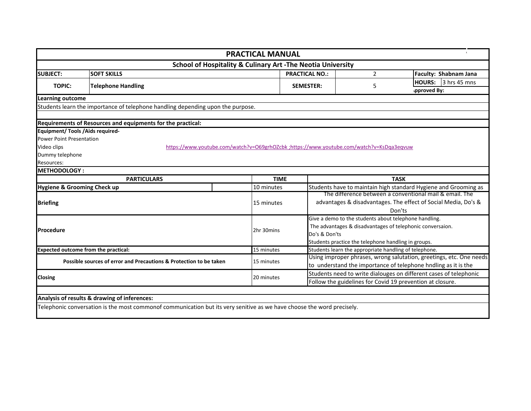| <b>School of Hospitality &amp; Culinary Art -The Neotia University</b><br><b>SOFT SKILLS</b><br><b>PRACTICAL NO.:</b><br>$\overline{2}$<br>Faculty: Shabnam Jana<br>3 hrs 45 mns<br><b>HOURS:</b><br><b>TOPIC:</b><br><b>Telephone Handling</b><br><b>SEMESTER:</b><br>5<br>pproved By:<br>Students learn the importance of telephone handling depending upon the purpose.<br>https://www.youtube.com/watch?v=O69grhOZcbk ;https://www.youtube.com/watch?v=KsDqa3eqvuw<br><b>TIME</b><br><b>TASK</b><br><b>PARTICULARS</b><br>10 minutes<br>The difference between a conventional mail & email. The<br>advantages & disadvantages. The effect of Social Media, Do's &<br>15 minutes<br>Don'ts<br>Give a demo to the students about telephone handling.<br>The advantages & disadvantages of telephonic conversaion.<br>2hr 30mins<br>Do's & Don'ts<br>Students practice the telephone handling in groups.<br>Students learn the appropriate handling of telephone.<br>15 minutes<br>Using improper phrases, wrong salutation, greetings, etc. One needs<br>Possible sources of error and Precautions & Protection to be taken<br>15 minutes<br>to understand the importance of telephone hndling as it is the<br>Students need to write dialouges on different cases of telephonic<br>120 minutes<br>Follow the guidelines for Covid 19 prevention at closure. | <b>PRACTICAL MANUAL</b> |  |  |  |                                                                 |  |  |  |
|----------------------------------------------------------------------------------------------------------------------------------------------------------------------------------------------------------------------------------------------------------------------------------------------------------------------------------------------------------------------------------------------------------------------------------------------------------------------------------------------------------------------------------------------------------------------------------------------------------------------------------------------------------------------------------------------------------------------------------------------------------------------------------------------------------------------------------------------------------------------------------------------------------------------------------------------------------------------------------------------------------------------------------------------------------------------------------------------------------------------------------------------------------------------------------------------------------------------------------------------------------------------------------------------------------------------------------------------------------------|-------------------------|--|--|--|-----------------------------------------------------------------|--|--|--|
|                                                                                                                                                                                                                                                                                                                                                                                                                                                                                                                                                                                                                                                                                                                                                                                                                                                                                                                                                                                                                                                                                                                                                                                                                                                                                                                                                                |                         |  |  |  |                                                                 |  |  |  |
| <b>Learning outcome</b>                                                                                                                                                                                                                                                                                                                                                                                                                                                                                                                                                                                                                                                                                                                                                                                                                                                                                                                                                                                                                                                                                                                                                                                                                                                                                                                                        | <b>SUBJECT:</b>         |  |  |  |                                                                 |  |  |  |
|                                                                                                                                                                                                                                                                                                                                                                                                                                                                                                                                                                                                                                                                                                                                                                                                                                                                                                                                                                                                                                                                                                                                                                                                                                                                                                                                                                |                         |  |  |  |                                                                 |  |  |  |
|                                                                                                                                                                                                                                                                                                                                                                                                                                                                                                                                                                                                                                                                                                                                                                                                                                                                                                                                                                                                                                                                                                                                                                                                                                                                                                                                                                |                         |  |  |  |                                                                 |  |  |  |
|                                                                                                                                                                                                                                                                                                                                                                                                                                                                                                                                                                                                                                                                                                                                                                                                                                                                                                                                                                                                                                                                                                                                                                                                                                                                                                                                                                |                         |  |  |  |                                                                 |  |  |  |
|                                                                                                                                                                                                                                                                                                                                                                                                                                                                                                                                                                                                                                                                                                                                                                                                                                                                                                                                                                                                                                                                                                                                                                                                                                                                                                                                                                |                         |  |  |  |                                                                 |  |  |  |
| Requirements of Resources and equipments for the practical:<br><b>Equipment/ Tools / Aids required-</b><br><b>Power Point Presentation</b><br>Video clips<br>Dummy telephone<br>Resources:<br>METHODOLOGY:<br>Hygiene & Grooming Check up<br><b>Briefing</b><br><b>Procedure</b><br><b>Expected outcome from the practical:</b><br><b>Closing</b><br>Analysis of results & drawing of inferences:                                                                                                                                                                                                                                                                                                                                                                                                                                                                                                                                                                                                                                                                                                                                                                                                                                                                                                                                                              |                         |  |  |  |                                                                 |  |  |  |
|                                                                                                                                                                                                                                                                                                                                                                                                                                                                                                                                                                                                                                                                                                                                                                                                                                                                                                                                                                                                                                                                                                                                                                                                                                                                                                                                                                |                         |  |  |  |                                                                 |  |  |  |
|                                                                                                                                                                                                                                                                                                                                                                                                                                                                                                                                                                                                                                                                                                                                                                                                                                                                                                                                                                                                                                                                                                                                                                                                                                                                                                                                                                |                         |  |  |  |                                                                 |  |  |  |
|                                                                                                                                                                                                                                                                                                                                                                                                                                                                                                                                                                                                                                                                                                                                                                                                                                                                                                                                                                                                                                                                                                                                                                                                                                                                                                                                                                |                         |  |  |  |                                                                 |  |  |  |
|                                                                                                                                                                                                                                                                                                                                                                                                                                                                                                                                                                                                                                                                                                                                                                                                                                                                                                                                                                                                                                                                                                                                                                                                                                                                                                                                                                |                         |  |  |  |                                                                 |  |  |  |
|                                                                                                                                                                                                                                                                                                                                                                                                                                                                                                                                                                                                                                                                                                                                                                                                                                                                                                                                                                                                                                                                                                                                                                                                                                                                                                                                                                |                         |  |  |  |                                                                 |  |  |  |
|                                                                                                                                                                                                                                                                                                                                                                                                                                                                                                                                                                                                                                                                                                                                                                                                                                                                                                                                                                                                                                                                                                                                                                                                                                                                                                                                                                |                         |  |  |  |                                                                 |  |  |  |
|                                                                                                                                                                                                                                                                                                                                                                                                                                                                                                                                                                                                                                                                                                                                                                                                                                                                                                                                                                                                                                                                                                                                                                                                                                                                                                                                                                |                         |  |  |  |                                                                 |  |  |  |
|                                                                                                                                                                                                                                                                                                                                                                                                                                                                                                                                                                                                                                                                                                                                                                                                                                                                                                                                                                                                                                                                                                                                                                                                                                                                                                                                                                |                         |  |  |  |                                                                 |  |  |  |
|                                                                                                                                                                                                                                                                                                                                                                                                                                                                                                                                                                                                                                                                                                                                                                                                                                                                                                                                                                                                                                                                                                                                                                                                                                                                                                                                                                |                         |  |  |  | Students have to maintain high standard Hygiene and Grooming as |  |  |  |
|                                                                                                                                                                                                                                                                                                                                                                                                                                                                                                                                                                                                                                                                                                                                                                                                                                                                                                                                                                                                                                                                                                                                                                                                                                                                                                                                                                |                         |  |  |  |                                                                 |  |  |  |
|                                                                                                                                                                                                                                                                                                                                                                                                                                                                                                                                                                                                                                                                                                                                                                                                                                                                                                                                                                                                                                                                                                                                                                                                                                                                                                                                                                |                         |  |  |  |                                                                 |  |  |  |
|                                                                                                                                                                                                                                                                                                                                                                                                                                                                                                                                                                                                                                                                                                                                                                                                                                                                                                                                                                                                                                                                                                                                                                                                                                                                                                                                                                |                         |  |  |  |                                                                 |  |  |  |
|                                                                                                                                                                                                                                                                                                                                                                                                                                                                                                                                                                                                                                                                                                                                                                                                                                                                                                                                                                                                                                                                                                                                                                                                                                                                                                                                                                |                         |  |  |  |                                                                 |  |  |  |
|                                                                                                                                                                                                                                                                                                                                                                                                                                                                                                                                                                                                                                                                                                                                                                                                                                                                                                                                                                                                                                                                                                                                                                                                                                                                                                                                                                |                         |  |  |  |                                                                 |  |  |  |
|                                                                                                                                                                                                                                                                                                                                                                                                                                                                                                                                                                                                                                                                                                                                                                                                                                                                                                                                                                                                                                                                                                                                                                                                                                                                                                                                                                |                         |  |  |  |                                                                 |  |  |  |
|                                                                                                                                                                                                                                                                                                                                                                                                                                                                                                                                                                                                                                                                                                                                                                                                                                                                                                                                                                                                                                                                                                                                                                                                                                                                                                                                                                |                         |  |  |  |                                                                 |  |  |  |
|                                                                                                                                                                                                                                                                                                                                                                                                                                                                                                                                                                                                                                                                                                                                                                                                                                                                                                                                                                                                                                                                                                                                                                                                                                                                                                                                                                |                         |  |  |  |                                                                 |  |  |  |
|                                                                                                                                                                                                                                                                                                                                                                                                                                                                                                                                                                                                                                                                                                                                                                                                                                                                                                                                                                                                                                                                                                                                                                                                                                                                                                                                                                |                         |  |  |  |                                                                 |  |  |  |
|                                                                                                                                                                                                                                                                                                                                                                                                                                                                                                                                                                                                                                                                                                                                                                                                                                                                                                                                                                                                                                                                                                                                                                                                                                                                                                                                                                |                         |  |  |  |                                                                 |  |  |  |
|                                                                                                                                                                                                                                                                                                                                                                                                                                                                                                                                                                                                                                                                                                                                                                                                                                                                                                                                                                                                                                                                                                                                                                                                                                                                                                                                                                |                         |  |  |  |                                                                 |  |  |  |
|                                                                                                                                                                                                                                                                                                                                                                                                                                                                                                                                                                                                                                                                                                                                                                                                                                                                                                                                                                                                                                                                                                                                                                                                                                                                                                                                                                |                         |  |  |  |                                                                 |  |  |  |
|                                                                                                                                                                                                                                                                                                                                                                                                                                                                                                                                                                                                                                                                                                                                                                                                                                                                                                                                                                                                                                                                                                                                                                                                                                                                                                                                                                |                         |  |  |  |                                                                 |  |  |  |
|                                                                                                                                                                                                                                                                                                                                                                                                                                                                                                                                                                                                                                                                                                                                                                                                                                                                                                                                                                                                                                                                                                                                                                                                                                                                                                                                                                |                         |  |  |  |                                                                 |  |  |  |
| Telephonic conversation is the most commonof communication but its very senitive as we have choose the word precisely.                                                                                                                                                                                                                                                                                                                                                                                                                                                                                                                                                                                                                                                                                                                                                                                                                                                                                                                                                                                                                                                                                                                                                                                                                                         |                         |  |  |  |                                                                 |  |  |  |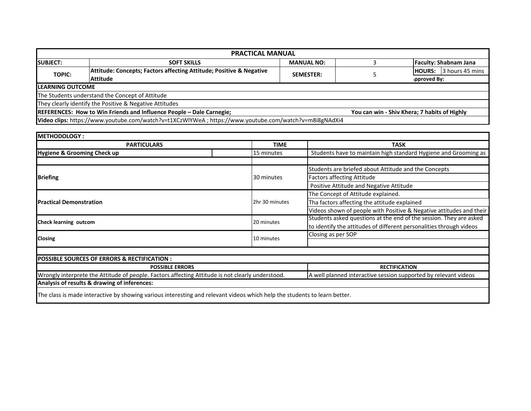| <b>PRACTICAL MANUAL</b>  |                                                                                                        |                   |                                              |                              |  |  |  |  |
|--------------------------|--------------------------------------------------------------------------------------------------------|-------------------|----------------------------------------------|------------------------------|--|--|--|--|
| <b>ISUBJECT:</b>         | <b>SOFT SKILLS</b>                                                                                     | <b>MANUAL NO:</b> |                                              | <b>Faculty: Shabnam Jana</b> |  |  |  |  |
| <b>TOPIC:</b>            | Attitude: Concepts; Factors affecting Attitude; Positive & Negative                                    | <b>SEMESTER:</b>  |                                              | HOURS: 3 hours 45 mins       |  |  |  |  |
|                          | Attitude                                                                                               |                   |                                              | pproved By:                  |  |  |  |  |
| <b>ILEARNING OUTCOME</b> |                                                                                                        |                   |                                              |                              |  |  |  |  |
|                          | The Students understand the Concept of Attitude                                                        |                   |                                              |                              |  |  |  |  |
|                          | They clearly identify the Positive & Negative Attitudes                                                |                   |                                              |                              |  |  |  |  |
|                          | REFERENCES: How to Win Friends and Influence People - Dale Carnegie;                                   |                   | You can win - Shiv Khera; 7 habits of Highly |                              |  |  |  |  |
|                          | Video clips: https://www.youtube.com/watch?v=t1XCzWlYWeA ; https://www.youtube.com/watch?v=m8i8gNAdXi4 |                   |                                              |                              |  |  |  |  |

| <b>METHODOLOGY:</b>                                                                                                       |                |                                                                     |  |  |
|---------------------------------------------------------------------------------------------------------------------------|----------------|---------------------------------------------------------------------|--|--|
| <b>PARTICULARS</b>                                                                                                        | <b>TIME</b>    | <b>TASK</b>                                                         |  |  |
| <b>Hygiene &amp; Grooming Check up</b>                                                                                    | 15 minutes     | Students have to maintain high standard Hygiene and Grooming as     |  |  |
|                                                                                                                           |                |                                                                     |  |  |
|                                                                                                                           |                | Students are briefed about Attitude and the Concepts                |  |  |
| <b>Briefing</b>                                                                                                           | 30 minutes     | <b>Factors affecting Attitude</b>                                   |  |  |
|                                                                                                                           |                | Positive Attitude and Negative Attitude                             |  |  |
|                                                                                                                           |                | The Concept of Attitude explained.                                  |  |  |
| <b>Practical Demonstration</b>                                                                                            | 2hr 30 minutes | Tha factors affecting the attitude explained                        |  |  |
|                                                                                                                           |                | Videos shown of people with Positive & Negative attitudes and their |  |  |
| <b>Check learning outcom</b>                                                                                              | 20 minutes     | Students asked questions at the end of the session. They are asked  |  |  |
|                                                                                                                           |                | to identify the attitudes of different personalities through videos |  |  |
| <b>Closing</b>                                                                                                            | 10 minutes     | Closing as per SOP                                                  |  |  |
|                                                                                                                           |                |                                                                     |  |  |
|                                                                                                                           |                |                                                                     |  |  |
| <b>POSSIBLE SOURCES OF ERRORS &amp; RECTIFICATION:</b>                                                                    |                |                                                                     |  |  |
| <b>POSSIBLE ERRORS</b>                                                                                                    |                | <b>RECTIFICATION</b>                                                |  |  |
| Wrongly interprete the Attitude of people. Factors affecting Attitude is not clearly understood.                          |                | A well planned interactive session supported by relevant videos     |  |  |
| Analysis of results & drawing of inferences:                                                                              |                |                                                                     |  |  |
| The class is made interactive by showing various interesting and relevant videos which help the students to learn better. |                |                                                                     |  |  |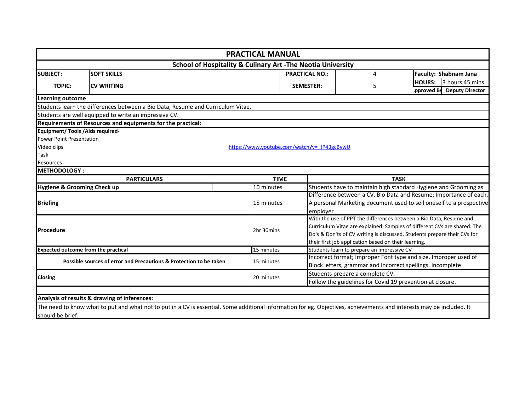|                                          |                                                                                                                                                                       | <b>PRACTICAL MANUAL</b>                    |                  |                                                                                                                                                      |                                                                          |  |  |
|------------------------------------------|-----------------------------------------------------------------------------------------------------------------------------------------------------------------------|--------------------------------------------|------------------|------------------------------------------------------------------------------------------------------------------------------------------------------|--------------------------------------------------------------------------|--|--|
|                                          | <b>School of Hospitality &amp; Culinary Art -The Neotia University</b>                                                                                                |                                            |                  |                                                                                                                                                      |                                                                          |  |  |
| <b>SUBJECT:</b>                          | <b>SOFT SKILLS</b>                                                                                                                                                    |                                            |                  | <b>PRACTICAL NO.:</b><br>4                                                                                                                           | Faculty: Shabnam Jana                                                    |  |  |
| <b>TOPIC:</b>                            | <b>CV WRITING</b>                                                                                                                                                     |                                            | <b>SEMESTER:</b> | 5                                                                                                                                                    | 3 hours 45 mins<br><b>HOURS:</b><br><b>Deputy Director</b><br>pproved By |  |  |
| <b>Learning outcome</b>                  |                                                                                                                                                                       |                                            |                  |                                                                                                                                                      |                                                                          |  |  |
|                                          | Students learn the differences between a Bio Data, Resume and Curriculum Vitae.                                                                                       |                                            |                  |                                                                                                                                                      |                                                                          |  |  |
|                                          | Students are well equipped to write an impressive CV.                                                                                                                 |                                            |                  |                                                                                                                                                      |                                                                          |  |  |
|                                          | Requirements of Resources and equipments for the practical:                                                                                                           |                                            |                  |                                                                                                                                                      |                                                                          |  |  |
| <b>Equipment/ Tools / Aids required-</b> |                                                                                                                                                                       |                                            |                  |                                                                                                                                                      |                                                                          |  |  |
| <b>Power Point Presentation</b>          |                                                                                                                                                                       |                                            |                  |                                                                                                                                                      |                                                                          |  |  |
| Video clips                              |                                                                                                                                                                       | https://www.youtube.com/watch?v=fP43gcBywU |                  |                                                                                                                                                      |                                                                          |  |  |
| Task                                     |                                                                                                                                                                       |                                            |                  |                                                                                                                                                      |                                                                          |  |  |
| <b>Resources</b>                         |                                                                                                                                                                       |                                            |                  |                                                                                                                                                      |                                                                          |  |  |
| <b>METHODOLOGY:</b>                      |                                                                                                                                                                       |                                            |                  |                                                                                                                                                      |                                                                          |  |  |
|                                          | <b>PARTICULARS</b>                                                                                                                                                    | <b>TIME</b>                                |                  | <b>TASK</b>                                                                                                                                          |                                                                          |  |  |
| Hygiene & Grooming Check up              |                                                                                                                                                                       | 10 minutes                                 |                  | Students have to maintain high standard Hygiene and Grooming as                                                                                      |                                                                          |  |  |
|                                          |                                                                                                                                                                       |                                            |                  |                                                                                                                                                      | Difference between a CV, Bio Data and Resume; Importance of each.        |  |  |
| <b>Briefing</b>                          |                                                                                                                                                                       | 15 minutes                                 |                  | A personal Marketing document used to sell oneself to a prospective                                                                                  |                                                                          |  |  |
|                                          |                                                                                                                                                                       |                                            |                  | emplover                                                                                                                                             |                                                                          |  |  |
|                                          |                                                                                                                                                                       |                                            |                  | With the use of PPT the differences between a Bio Data, Resume and                                                                                   |                                                                          |  |  |
| <b>IProcedure</b>                        |                                                                                                                                                                       | 2hr 30mins                                 |                  | Curriculum Vitae are explained. Samples of different CVs are shared. The<br>Do's & Don'ts of CV writing is discussed. Students prepare their CVs for |                                                                          |  |  |
|                                          |                                                                                                                                                                       |                                            |                  | their first job application based on their learning.                                                                                                 |                                                                          |  |  |
|                                          | <b>Expected outcome from the practical</b>                                                                                                                            | 15 minutes                                 |                  | Students learn to prepare an impressive CV                                                                                                           |                                                                          |  |  |
|                                          |                                                                                                                                                                       |                                            |                  |                                                                                                                                                      | Incorrect format; Improper Font type and size. Improper used of          |  |  |
|                                          | Possible sources of error and Precautions & Protection to be taken                                                                                                    | 15 minutes                                 |                  | Block letters, grammar and incorrect spellings. Incomplete                                                                                           |                                                                          |  |  |
|                                          |                                                                                                                                                                       |                                            |                  | Students prepare a complete CV.                                                                                                                      |                                                                          |  |  |
| <b>Closing</b>                           |                                                                                                                                                                       | 20 minutes                                 |                  | Follow the guidelines for Covid 19 prevention at closure.                                                                                            |                                                                          |  |  |
|                                          |                                                                                                                                                                       |                                            |                  |                                                                                                                                                      |                                                                          |  |  |
|                                          | Analysis of results & drawing of inferences:                                                                                                                          |                                            |                  |                                                                                                                                                      |                                                                          |  |  |
|                                          | The need to know what to put and what not to put in a CV is essential. Some additional information for eg. Objectives, achievements and interests may be included. It |                                            |                  |                                                                                                                                                      |                                                                          |  |  |
| should be brief.                         |                                                                                                                                                                       |                                            |                  |                                                                                                                                                      |                                                                          |  |  |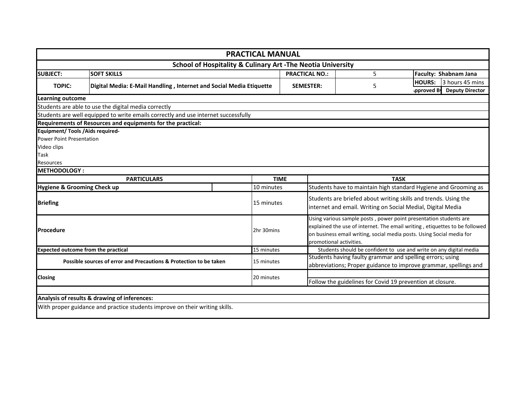|                                          |                                                                                    | <b>PRACTICAL MANUAL</b> |                       |                                                                                                                                                                                                                                                      |                                                           |                                                                                                                               |  |  |  |  |
|------------------------------------------|------------------------------------------------------------------------------------|-------------------------|-----------------------|------------------------------------------------------------------------------------------------------------------------------------------------------------------------------------------------------------------------------------------------------|-----------------------------------------------------------|-------------------------------------------------------------------------------------------------------------------------------|--|--|--|--|
|                                          | <b>School of Hospitality &amp; Culinary Art -The Neotia University</b>             |                         |                       |                                                                                                                                                                                                                                                      |                                                           |                                                                                                                               |  |  |  |  |
| <b>SUBJECT:</b>                          | <b>SOFT SKILLS</b>                                                                 |                         | <b>PRACTICAL NO.:</b> |                                                                                                                                                                                                                                                      | 5                                                         | Faculty: Shabnam Jana                                                                                                         |  |  |  |  |
| <b>TOPIC:</b>                            | Digital Media: E-Mail Handling, Internet and Social Media Etiquette                |                         | <b>SEMESTER:</b>      |                                                                                                                                                                                                                                                      | 5                                                         | <b>HOURS:</b><br>3 hours 45 mins<br>pproved By<br><b>Deputy Director</b>                                                      |  |  |  |  |
| <b>Learning outcome</b>                  |                                                                                    |                         |                       |                                                                                                                                                                                                                                                      |                                                           |                                                                                                                               |  |  |  |  |
|                                          | Students are able to use the digital media correctly                               |                         |                       |                                                                                                                                                                                                                                                      |                                                           |                                                                                                                               |  |  |  |  |
|                                          | Students are well equipped to write emails correctly and use internet successfully |                         |                       |                                                                                                                                                                                                                                                      |                                                           |                                                                                                                               |  |  |  |  |
|                                          | Requirements of Resources and equipments for the practical:                        |                         |                       |                                                                                                                                                                                                                                                      |                                                           |                                                                                                                               |  |  |  |  |
| <b>Equipment/ Tools / Aids required-</b> |                                                                                    |                         |                       |                                                                                                                                                                                                                                                      |                                                           |                                                                                                                               |  |  |  |  |
| <b>Power Point Presentation</b>          |                                                                                    |                         |                       |                                                                                                                                                                                                                                                      |                                                           |                                                                                                                               |  |  |  |  |
| Video clips                              |                                                                                    |                         |                       |                                                                                                                                                                                                                                                      |                                                           |                                                                                                                               |  |  |  |  |
| Task                                     |                                                                                    |                         |                       |                                                                                                                                                                                                                                                      |                                                           |                                                                                                                               |  |  |  |  |
| Resources                                |                                                                                    |                         |                       |                                                                                                                                                                                                                                                      |                                                           |                                                                                                                               |  |  |  |  |
| <b>METHODOLOGY:</b>                      |                                                                                    |                         |                       |                                                                                                                                                                                                                                                      |                                                           |                                                                                                                               |  |  |  |  |
|                                          | <b>PARTICULARS</b>                                                                 |                         | <b>TIME</b>           |                                                                                                                                                                                                                                                      | <b>TASK</b>                                               |                                                                                                                               |  |  |  |  |
| <b>Hygiene &amp; Grooming Check up</b>   |                                                                                    | 10 minutes              |                       | Students have to maintain high standard Hygiene and Grooming as                                                                                                                                                                                      |                                                           |                                                                                                                               |  |  |  |  |
| <b>Briefing</b>                          |                                                                                    | 15 minutes              |                       | Students are briefed about writing skills and trends. Using the<br>internet and email. Writing on Social Medial, Digital Media                                                                                                                       |                                                           |                                                                                                                               |  |  |  |  |
| Procedure                                |                                                                                    | 2hr 30mins              |                       | Using various sample posts, power point presentation students are<br>explained the use of internet. The email writing, etiquettes to be followed<br>on business email writing, social media posts. Using Social media for<br>promotional activities. |                                                           |                                                                                                                               |  |  |  |  |
|                                          | <b>Expected outcome from the practical</b>                                         | 15 minutes              |                       |                                                                                                                                                                                                                                                      |                                                           | Students should be confident to use and write on any digital media                                                            |  |  |  |  |
|                                          | Possible sources of error and Precautions & Protection to be taken                 | 15 minutes              |                       |                                                                                                                                                                                                                                                      |                                                           | Students having faulty grammar and spelling errors; using<br>abbreviations; Proper guidance to improve grammar, spellings and |  |  |  |  |
|                                          |                                                                                    |                         |                       |                                                                                                                                                                                                                                                      |                                                           |                                                                                                                               |  |  |  |  |
| Closing                                  | 20 minutes                                                                         |                         |                       |                                                                                                                                                                                                                                                      | Follow the guidelines for Covid 19 prevention at closure. |                                                                                                                               |  |  |  |  |
|                                          |                                                                                    |                         |                       |                                                                                                                                                                                                                                                      |                                                           |                                                                                                                               |  |  |  |  |
|                                          | Analysis of results & drawing of inferences:                                       |                         |                       |                                                                                                                                                                                                                                                      |                                                           |                                                                                                                               |  |  |  |  |
|                                          | With proper guidance and practice students improve on their writing skills.        |                         |                       |                                                                                                                                                                                                                                                      |                                                           |                                                                                                                               |  |  |  |  |
|                                          |                                                                                    |                         |                       |                                                                                                                                                                                                                                                      |                                                           |                                                                                                                               |  |  |  |  |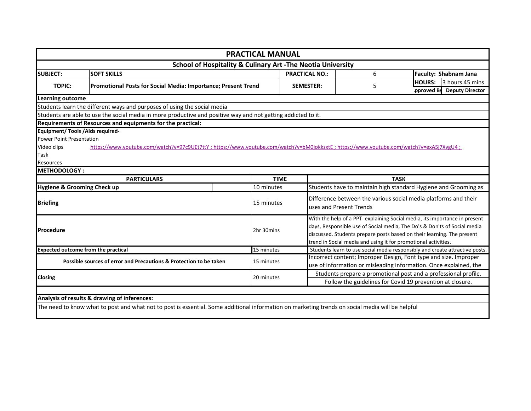|                                                                                                                 |                                                                                                                                                  | <b>PRACTICAL MANUAL</b> |                  |                                                                                                                                                                                                                                                                                                   |   |                                                                                                                                       |  |  |  |
|-----------------------------------------------------------------------------------------------------------------|--------------------------------------------------------------------------------------------------------------------------------------------------|-------------------------|------------------|---------------------------------------------------------------------------------------------------------------------------------------------------------------------------------------------------------------------------------------------------------------------------------------------------|---|---------------------------------------------------------------------------------------------------------------------------------------|--|--|--|
|                                                                                                                 | <b>School of Hospitality &amp; Culinary Art -The Neotia University</b>                                                                           |                         |                  |                                                                                                                                                                                                                                                                                                   |   |                                                                                                                                       |  |  |  |
| <b>SUBJECT:</b>                                                                                                 | <b>SOFT SKILLS</b>                                                                                                                               |                         |                  | <b>PRACTICAL NO.:</b>                                                                                                                                                                                                                                                                             | 6 | Faculty: Shabnam Jana                                                                                                                 |  |  |  |
| <b>TOPIC:</b>                                                                                                   | Promotional Posts for Social Media: Importance; Present Trend                                                                                    |                         | <b>SEMESTER:</b> |                                                                                                                                                                                                                                                                                                   | 5 | 3 hours 45 mins<br><b>HOURS:</b><br><b>Deputy Director</b><br>pproved By                                                              |  |  |  |
| <b>Learning outcome</b>                                                                                         |                                                                                                                                                  |                         |                  |                                                                                                                                                                                                                                                                                                   |   |                                                                                                                                       |  |  |  |
|                                                                                                                 | Students learn the different ways and purposes of using the social media                                                                         |                         |                  |                                                                                                                                                                                                                                                                                                   |   |                                                                                                                                       |  |  |  |
|                                                                                                                 | Students are able to use the social media in more productive and positive way and not getting addicted to it.                                    |                         |                  |                                                                                                                                                                                                                                                                                                   |   |                                                                                                                                       |  |  |  |
|                                                                                                                 | Requirements of Resources and equipments for the practical:                                                                                      |                         |                  |                                                                                                                                                                                                                                                                                                   |   |                                                                                                                                       |  |  |  |
| <b>Equipment/ Tools / Aids required-</b><br><b>Power Point Presentation</b><br>Video clips<br>Task<br>Resources | https://www.youtube.com/watch?v=97c9UEt7ttY; https://www.youtube.com/watch?v=bM0jokkzxtE; https://www.youtube.com/watch?v=exA5j7XvgU4;           |                         |                  |                                                                                                                                                                                                                                                                                                   |   |                                                                                                                                       |  |  |  |
| <b>METHODOLOGY:</b>                                                                                             |                                                                                                                                                  |                         |                  |                                                                                                                                                                                                                                                                                                   |   |                                                                                                                                       |  |  |  |
|                                                                                                                 | <b>PARTICULARS</b>                                                                                                                               | <b>TIME</b>             |                  | <b>TASK</b>                                                                                                                                                                                                                                                                                       |   |                                                                                                                                       |  |  |  |
| Hygiene & Grooming Check up                                                                                     |                                                                                                                                                  | 10 minutes              |                  | Students have to maintain high standard Hygiene and Grooming as                                                                                                                                                                                                                                   |   |                                                                                                                                       |  |  |  |
| <b>Briefing</b>                                                                                                 |                                                                                                                                                  | 15 minutes              |                  | uses and Present Trends                                                                                                                                                                                                                                                                           |   | Difference between the various social media platforms and their                                                                       |  |  |  |
| <b>Procedure</b>                                                                                                |                                                                                                                                                  | 2hr 30mins              |                  | With the help of a PPT explaining Social media, its importance in present<br>days, Responsible use of Social media, The Do's & Don'ts of Social media<br>discussed. Students prepare posts based on their learning. The present<br>trend in Social media and using it for promotional activities. |   |                                                                                                                                       |  |  |  |
| <b>Expected outcome from the practical</b>                                                                      |                                                                                                                                                  | 15 minutes              |                  |                                                                                                                                                                                                                                                                                                   |   | Students learn to use social media responsibly and create attractive posts.                                                           |  |  |  |
|                                                                                                                 | Possible sources of error and Precautions & Protection to be taken                                                                               | 15 minutes              |                  |                                                                                                                                                                                                                                                                                                   |   | Incorrect content; Improper Design, Font type and size. Improper<br>use of information or misleading information. Once explained, the |  |  |  |
| <b>Closing</b><br>20 minutes                                                                                    |                                                                                                                                                  |                         |                  |                                                                                                                                                                                                                                                                                                   |   | Students prepare a promotional post and a professional profile.<br>Follow the guidelines for Covid 19 prevention at closure.          |  |  |  |
|                                                                                                                 |                                                                                                                                                  |                         |                  |                                                                                                                                                                                                                                                                                                   |   |                                                                                                                                       |  |  |  |
|                                                                                                                 | Analysis of results & drawing of inferences:                                                                                                     |                         |                  |                                                                                                                                                                                                                                                                                                   |   |                                                                                                                                       |  |  |  |
|                                                                                                                 | The need to know what to post and what not to post is essential. Some additional information on marketing trends on social media will be helpful |                         |                  |                                                                                                                                                                                                                                                                                                   |   |                                                                                                                                       |  |  |  |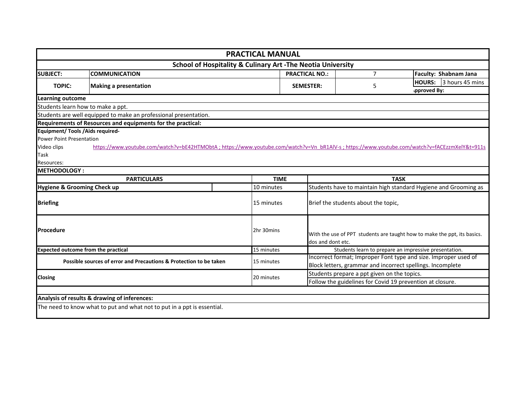| <b>PRACTICAL MANUAL</b>                  |                                                                                                                                            |             |                       |                                                                                               |                                                                 |  |  |  |  |  |
|------------------------------------------|--------------------------------------------------------------------------------------------------------------------------------------------|-------------|-----------------------|-----------------------------------------------------------------------------------------------|-----------------------------------------------------------------|--|--|--|--|--|
|                                          | <b>School of Hospitality &amp; Culinary Art -The Neotia University</b>                                                                     |             |                       |                                                                                               |                                                                 |  |  |  |  |  |
| <b>COMMUNICATION</b><br><b>SUBJECT:</b>  |                                                                                                                                            |             | <b>PRACTICAL NO.:</b> | $\overline{7}$                                                                                | Faculty: Shabnam Jana                                           |  |  |  |  |  |
| <b>TOPIC:</b>                            |                                                                                                                                            |             | <b>SEMESTER:</b>      | 5                                                                                             | <b>HOURS:</b><br>3 hours 45 mins                                |  |  |  |  |  |
|                                          | <b>Making a presentation</b>                                                                                                               |             |                       |                                                                                               | pproved By:                                                     |  |  |  |  |  |
| Learning outcome                         |                                                                                                                                            |             |                       |                                                                                               |                                                                 |  |  |  |  |  |
|                                          | Students learn how to make a ppt.                                                                                                          |             |                       |                                                                                               |                                                                 |  |  |  |  |  |
|                                          | Students are well equipped to make an professional presentation.                                                                           |             |                       |                                                                                               |                                                                 |  |  |  |  |  |
|                                          | Requirements of Resources and equipments for the practical:                                                                                |             |                       |                                                                                               |                                                                 |  |  |  |  |  |
| <b>Equipment/ Tools / Aids required-</b> |                                                                                                                                            |             |                       |                                                                                               |                                                                 |  |  |  |  |  |
| <b>Power Point Presentation</b>          |                                                                                                                                            |             |                       |                                                                                               |                                                                 |  |  |  |  |  |
| Video clips                              | https://www.youtube.com/watch?v=bE42HTMObtA;https://www.youtube.com/watch?v=Vn_bR1AlV-s;https://www.youtube.com/watch?v=fACEzzmXelY&t=911s |             |                       |                                                                                               |                                                                 |  |  |  |  |  |
| Task                                     |                                                                                                                                            |             |                       |                                                                                               |                                                                 |  |  |  |  |  |
| Resources:                               |                                                                                                                                            |             |                       |                                                                                               |                                                                 |  |  |  |  |  |
| <b>METHODOLOGY:</b>                      |                                                                                                                                            |             |                       |                                                                                               |                                                                 |  |  |  |  |  |
|                                          | <b>PARTICULARS</b>                                                                                                                         | <b>TIME</b> |                       |                                                                                               | <b>TASK</b>                                                     |  |  |  |  |  |
| <b>Hygiene &amp; Grooming Check up</b>   |                                                                                                                                            | 10 minutes  |                       | Students have to maintain high standard Hygiene and Grooming as                               |                                                                 |  |  |  |  |  |
| <b>Briefing</b>                          |                                                                                                                                            | 15 minutes  |                       | Brief the students about the topic,                                                           |                                                                 |  |  |  |  |  |
| <b>Procedure</b>                         |                                                                                                                                            | 2hr 30mins  |                       | With the use of PPT students are taught how to make the ppt, its basics.<br>dos and dont etc. |                                                                 |  |  |  |  |  |
|                                          | <b>Expected outcome from the practical</b>                                                                                                 | 15 minutes  |                       |                                                                                               | Students learn to prepare an impressive presentation.           |  |  |  |  |  |
|                                          | Possible sources of error and Precautions & Protection to be taken                                                                         | 15 minutes  |                       |                                                                                               | Incorrect format; Improper Font type and size. Improper used of |  |  |  |  |  |
|                                          |                                                                                                                                            |             |                       | Block letters, grammar and incorrect spellings. Incomplete                                    |                                                                 |  |  |  |  |  |
| Closing                                  |                                                                                                                                            | 20 minutes  |                       | Students prepare a ppt given on the topics.                                                   |                                                                 |  |  |  |  |  |
|                                          |                                                                                                                                            |             |                       | Follow the guidelines for Covid 19 prevention at closure.                                     |                                                                 |  |  |  |  |  |
|                                          |                                                                                                                                            |             |                       |                                                                                               |                                                                 |  |  |  |  |  |
|                                          | Analysis of results & drawing of inferences:                                                                                               |             |                       |                                                                                               |                                                                 |  |  |  |  |  |
|                                          | The need to know what to put and what not to put in a ppt is essential.                                                                    |             |                       |                                                                                               |                                                                 |  |  |  |  |  |
|                                          |                                                                                                                                            |             |                       |                                                                                               |                                                                 |  |  |  |  |  |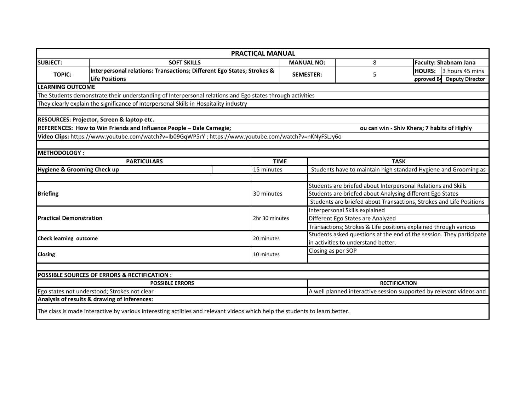|                                |                                                                                                                             | <b>PRACTICAL MANUAL</b> |                                                                                                                                          |                                   |                                                                     |  |  |  |
|--------------------------------|-----------------------------------------------------------------------------------------------------------------------------|-------------------------|------------------------------------------------------------------------------------------------------------------------------------------|-----------------------------------|---------------------------------------------------------------------|--|--|--|
| <b>SUBJECT:</b>                | <b>SOFT SKILLS</b>                                                                                                          |                         | <b>MANUAL NO:</b>                                                                                                                        | 8                                 | <b>Faculty: Shabnam Jana</b>                                        |  |  |  |
| <b>TOPIC:</b>                  | Interpersonal relations: Transactions; Different Ego States; Strokes &                                                      |                         | <b>SEMESTER:</b>                                                                                                                         |                                   | <b>HOURS:</b><br>3 hours 45 mins                                    |  |  |  |
|                                | <b>Life Positions</b>                                                                                                       |                         |                                                                                                                                          | 5                                 | pproved By<br><b>Deputy Director</b>                                |  |  |  |
| <b>LEARNING OUTCOME</b>        |                                                                                                                             |                         |                                                                                                                                          |                                   |                                                                     |  |  |  |
|                                | The Students demonstrate their understanding of Interpersonal relations and Ego states through activities                   |                         |                                                                                                                                          |                                   |                                                                     |  |  |  |
|                                | They clearly explain the significance of Interpersonal Skills in Hospitality industry                                       |                         |                                                                                                                                          |                                   |                                                                     |  |  |  |
|                                |                                                                                                                             |                         |                                                                                                                                          |                                   |                                                                     |  |  |  |
|                                | RESOURCES: Projector, Screen & laptop etc.                                                                                  |                         |                                                                                                                                          |                                   |                                                                     |  |  |  |
|                                | REFERENCES: How to Win Friends and Influence People - Dale Carnegie;                                                        |                         |                                                                                                                                          |                                   | ou can win - Shiv Khera; 7 habits of Highly                         |  |  |  |
|                                | Video Clips: https://www.youtube.com/watch?v=Ib09GqWP5rY; https://www.youtube.com/watch?v=nKNyFSLJy6o                       |                         |                                                                                                                                          |                                   |                                                                     |  |  |  |
|                                |                                                                                                                             |                         |                                                                                                                                          |                                   |                                                                     |  |  |  |
| <b>METHODOLOGY:</b>            |                                                                                                                             |                         |                                                                                                                                          |                                   |                                                                     |  |  |  |
|                                | <b>PARTICULARS</b>                                                                                                          | <b>TIME</b>             |                                                                                                                                          | <b>TASK</b>                       |                                                                     |  |  |  |
| Hygiene & Grooming Check up    |                                                                                                                             | 15 minutes              |                                                                                                                                          |                                   | Students have to maintain high standard Hygiene and Grooming as     |  |  |  |
|                                |                                                                                                                             |                         |                                                                                                                                          |                                   |                                                                     |  |  |  |
|                                |                                                                                                                             |                         | Students are briefed about Interpersonal Relations and Skills                                                                            |                                   |                                                                     |  |  |  |
| <b>Briefing</b>                |                                                                                                                             | 30 minutes              | Students are briefed about Analysing different Ego States                                                                                |                                   |                                                                     |  |  |  |
|                                |                                                                                                                             |                         | Students are briefed about Transactions, Strokes and Life Positions                                                                      |                                   |                                                                     |  |  |  |
|                                |                                                                                                                             |                         | Interpersonal Skills explained                                                                                                           |                                   |                                                                     |  |  |  |
| <b>Practical Demonstration</b> |                                                                                                                             | 2hr 30 minutes          |                                                                                                                                          | Different Ego States are Analyzed |                                                                     |  |  |  |
|                                |                                                                                                                             |                         | Transactions; Strokes & Life positions explained through various<br>Students asked questions at the end of the session. They participate |                                   |                                                                     |  |  |  |
| Check learning outcome         |                                                                                                                             | 20 minutes              |                                                                                                                                          |                                   |                                                                     |  |  |  |
|                                |                                                                                                                             |                         | in activities to understand better.                                                                                                      |                                   |                                                                     |  |  |  |
| Closing                        |                                                                                                                             | 10 minutes              | Closing as per SOP                                                                                                                       |                                   |                                                                     |  |  |  |
|                                |                                                                                                                             |                         |                                                                                                                                          |                                   |                                                                     |  |  |  |
|                                | <b>POSSIBLE SOURCES OF ERRORS &amp; RECTIFICATION:</b>                                                                      |                         |                                                                                                                                          |                                   |                                                                     |  |  |  |
|                                | <b>POSSIBLE ERRORS</b>                                                                                                      |                         |                                                                                                                                          | <b>RECTIFICATION</b>              |                                                                     |  |  |  |
|                                | Ego states not understood; Strokes not clear                                                                                |                         |                                                                                                                                          |                                   | A well planned interactive session supported by relevant videos and |  |  |  |
|                                | Analysis of results & drawing of inferences:                                                                                |                         |                                                                                                                                          |                                   |                                                                     |  |  |  |
|                                | The class is made interactive by various interesting actiities and relevant videos which help the students to learn better. |                         |                                                                                                                                          |                                   |                                                                     |  |  |  |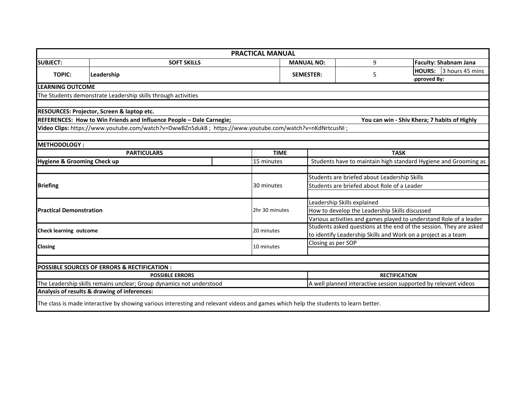|                                        |                                                                                                                                     | <b>PRACTICAL MANUAL</b> |  |                                                                                                                                          |                                                                 |                              |                 |  |
|----------------------------------------|-------------------------------------------------------------------------------------------------------------------------------------|-------------------------|--|------------------------------------------------------------------------------------------------------------------------------------------|-----------------------------------------------------------------|------------------------------|-----------------|--|
| <b>SUBJECT:</b>                        | <b>SOFT SKILLS</b>                                                                                                                  |                         |  | <b>MANUAL NO:</b>                                                                                                                        | 9                                                               | <b>Faculty: Shabnam Jana</b> |                 |  |
| <b>TOPIC:</b>                          | Leadership                                                                                                                          |                         |  | <b>SEMESTER:</b>                                                                                                                         | 5                                                               | <b>HOURS:</b>                | 3 hours 45 mins |  |
|                                        |                                                                                                                                     |                         |  |                                                                                                                                          |                                                                 | spproved By:                 |                 |  |
| <b>LEARNING OUTCOME</b>                |                                                                                                                                     |                         |  |                                                                                                                                          |                                                                 |                              |                 |  |
|                                        | The Students demonstrate Leadership skills through activities                                                                       |                         |  |                                                                                                                                          |                                                                 |                              |                 |  |
|                                        |                                                                                                                                     |                         |  |                                                                                                                                          |                                                                 |                              |                 |  |
|                                        | RESOURCES: Projector, Screen & laptop etc.                                                                                          |                         |  |                                                                                                                                          |                                                                 |                              |                 |  |
|                                        | REFERENCES: How to Win Friends and Influence People - Dale Carnegie;                                                                |                         |  |                                                                                                                                          | You can win - Shiv Khera; 7 habits of Highly                    |                              |                 |  |
|                                        | / Video Clips: https://www.youtube.com/watch?v=DwwBZn5duk8 ; https://www.youtube.com/watch?v=nKdNrtcusNI                            |                         |  |                                                                                                                                          |                                                                 |                              |                 |  |
|                                        |                                                                                                                                     |                         |  |                                                                                                                                          |                                                                 |                              |                 |  |
| <b>METHODOLOGY:</b>                    |                                                                                                                                     |                         |  |                                                                                                                                          |                                                                 |                              |                 |  |
|                                        | <b>PARTICULARS</b>                                                                                                                  | <b>TIME</b>             |  | <b>TASK</b>                                                                                                                              |                                                                 |                              |                 |  |
| <b>Hygiene &amp; Grooming Check up</b> |                                                                                                                                     | 15 minutes              |  |                                                                                                                                          | Students have to maintain high standard Hygiene and Grooming as |                              |                 |  |
|                                        |                                                                                                                                     |                         |  |                                                                                                                                          |                                                                 |                              |                 |  |
|                                        |                                                                                                                                     |                         |  | Students are briefed about Leadership Skills                                                                                             |                                                                 |                              |                 |  |
| <b>Briefing</b>                        |                                                                                                                                     | 30 minutes              |  |                                                                                                                                          | Students are briefed about Role of a Leader                     |                              |                 |  |
|                                        |                                                                                                                                     |                         |  |                                                                                                                                          |                                                                 |                              |                 |  |
|                                        |                                                                                                                                     |                         |  | Leadership Skills explained                                                                                                              |                                                                 |                              |                 |  |
| <b>Practical Demonstration</b>         |                                                                                                                                     | 2hr 30 minutes          |  | How to develop the Leadership Skills discussed                                                                                           |                                                                 |                              |                 |  |
|                                        |                                                                                                                                     |                         |  | Various activities and games played to understand Role of a leader<br>Students asked questions at the end of the session. They are asked |                                                                 |                              |                 |  |
| Check learning outcome                 |                                                                                                                                     | 20 minutes              |  |                                                                                                                                          |                                                                 |                              |                 |  |
|                                        |                                                                                                                                     |                         |  | to identify Leadership Skills and Work on a project as a team<br>Closing as per SOP                                                      |                                                                 |                              |                 |  |
| Closing                                |                                                                                                                                     | 10 minutes              |  |                                                                                                                                          |                                                                 |                              |                 |  |
|                                        |                                                                                                                                     |                         |  |                                                                                                                                          |                                                                 |                              |                 |  |
|                                        | <b>POSSIBLE SOURCES OF ERRORS &amp; RECTIFICATION:</b>                                                                              |                         |  |                                                                                                                                          |                                                                 |                              |                 |  |
|                                        | <b>POSSIBLE ERRORS</b>                                                                                                              |                         |  |                                                                                                                                          | <b>RECTIFICATION</b>                                            |                              |                 |  |
|                                        | The Leadership skills remains unclear; Group dynamics not understood                                                                |                         |  |                                                                                                                                          | A well planned interactive session supported by relevant videos |                              |                 |  |
|                                        | Analysis of results & drawing of inferences:                                                                                        |                         |  |                                                                                                                                          |                                                                 |                              |                 |  |
|                                        |                                                                                                                                     |                         |  |                                                                                                                                          |                                                                 |                              |                 |  |
|                                        | The class is made interactive by showing various interesting and relevant videos and games which help the students to learn better. |                         |  |                                                                                                                                          |                                                                 |                              |                 |  |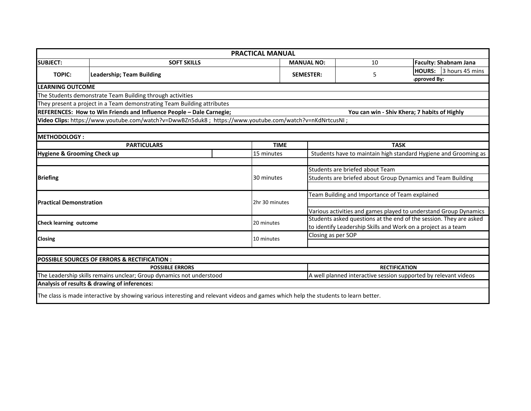|                                                                                                                      |                                                                                                                                     |  | <b>PRACTICAL MANUAL</b> |                  |                                                                                         |                                                |               |                              |
|----------------------------------------------------------------------------------------------------------------------|-------------------------------------------------------------------------------------------------------------------------------------|--|-------------------------|------------------|-----------------------------------------------------------------------------------------|------------------------------------------------|---------------|------------------------------|
| <b>SUBJECT:</b>                                                                                                      | <b>SOFT SKILLS</b>                                                                                                                  |  |                         |                  | <b>MANUAL NO:</b>                                                                       | 10                                             |               | <b>Faculty: Shabnam Jana</b> |
| <b>TOPIC:</b>                                                                                                        | Leadership; Team Building                                                                                                           |  |                         | <b>SEMESTER:</b> |                                                                                         | 5                                              | <b>HOURS:</b> | 3 hours 45 mins              |
|                                                                                                                      |                                                                                                                                     |  |                         |                  |                                                                                         |                                                | pproved By:   |                              |
| <b>LEARNING OUTCOME</b>                                                                                              |                                                                                                                                     |  |                         |                  |                                                                                         |                                                |               |                              |
|                                                                                                                      | The Students demonstrate Team Building through activities                                                                           |  |                         |                  |                                                                                         |                                                |               |                              |
|                                                                                                                      | They present a project in a Team demonstrating Team Building attributes                                                             |  |                         |                  |                                                                                         |                                                |               |                              |
|                                                                                                                      | REFERENCES: How to Win Friends and Influence People - Dale Carnegie;                                                                |  |                         |                  |                                                                                         | You can win - Shiv Khera; 7 habits of Highly   |               |                              |
|                                                                                                                      | ; Wideo Clips: https://www.youtube.com/watch?v=DwwBZn5duk8 ; https://www.youtube.com/watch?v=nKdNrtcusNI                            |  |                         |                  |                                                                                         |                                                |               |                              |
|                                                                                                                      |                                                                                                                                     |  |                         |                  |                                                                                         |                                                |               |                              |
| METHODOLOGY:                                                                                                         |                                                                                                                                     |  |                         |                  |                                                                                         |                                                |               |                              |
|                                                                                                                      | <b>PARTICULARS</b>                                                                                                                  |  | <b>TIME</b>             |                  | <b>TASK</b>                                                                             |                                                |               |                              |
| <b>Hygiene &amp; Grooming Check up</b>                                                                               |                                                                                                                                     |  | 15 minutes              |                  | Students have to maintain high standard Hygiene and Grooming as                         |                                                |               |                              |
|                                                                                                                      |                                                                                                                                     |  |                         |                  |                                                                                         |                                                |               |                              |
|                                                                                                                      |                                                                                                                                     |  |                         |                  | Students are briefed about Team                                                         |                                                |               |                              |
| <b>Briefing</b>                                                                                                      |                                                                                                                                     |  | 30 minutes              |                  | Students are briefed about Group Dynamics and Team Building                             |                                                |               |                              |
|                                                                                                                      |                                                                                                                                     |  |                         |                  |                                                                                         |                                                |               |                              |
|                                                                                                                      |                                                                                                                                     |  |                         |                  |                                                                                         | Team Building and Importance of Team explained |               |                              |
| <b>Practical Demonstration</b>                                                                                       |                                                                                                                                     |  | 2hr 30 minutes          |                  |                                                                                         |                                                |               |                              |
|                                                                                                                      |                                                                                                                                     |  |                         |                  | Various activities and games played to understand Group Dynamics                        |                                                |               |                              |
| <b>Check learning outcome</b>                                                                                        |                                                                                                                                     |  | 20 minutes              |                  | Students asked questions at the end of the session. They are asked                      |                                                |               |                              |
|                                                                                                                      |                                                                                                                                     |  |                         |                  | to identify Leadership Skills and Work on a project as a team                           |                                                |               |                              |
| <b>Closing</b>                                                                                                       |                                                                                                                                     |  | 10 minutes              |                  | Closing as per SOP                                                                      |                                                |               |                              |
|                                                                                                                      |                                                                                                                                     |  |                         |                  |                                                                                         |                                                |               |                              |
|                                                                                                                      |                                                                                                                                     |  |                         |                  |                                                                                         |                                                |               |                              |
|                                                                                                                      | <b>POSSIBLE SOURCES OF ERRORS &amp; RECTIFICATION:</b>                                                                              |  |                         |                  |                                                                                         |                                                |               |                              |
| <b>POSSIBLE ERRORS</b>                                                                                               |                                                                                                                                     |  |                         |                  | <b>RECTIFICATION</b><br>A well planned interactive session supported by relevant videos |                                                |               |                              |
| The Leadership skills remains unclear; Group dynamics not understood<br>Analysis of results & drawing of inferences: |                                                                                                                                     |  |                         |                  |                                                                                         |                                                |               |                              |
|                                                                                                                      |                                                                                                                                     |  |                         |                  |                                                                                         |                                                |               |                              |
|                                                                                                                      | The class is made interactive by showing various interesting and relevant videos and games which help the students to learn better. |  |                         |                  |                                                                                         |                                                |               |                              |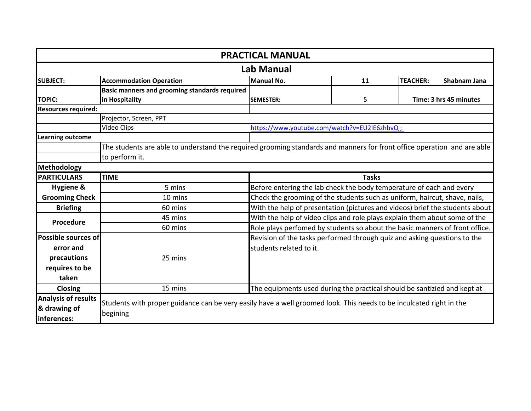| <b>PRACTICAL MANUAL</b>    |                                                                                                                         |                                                                              |                             |                 |              |  |  |
|----------------------------|-------------------------------------------------------------------------------------------------------------------------|------------------------------------------------------------------------------|-----------------------------|-----------------|--------------|--|--|
| Lab Manual                 |                                                                                                                         |                                                                              |                             |                 |              |  |  |
| <b>SUBJECT:</b>            | <b>Accommodation Operation</b>                                                                                          | Manual No.                                                                   | 11                          | <b>TEACHER:</b> | Shabnam Jana |  |  |
|                            | Basic manners and grooming standards required                                                                           |                                                                              |                             |                 |              |  |  |
| <b>TOPIC:</b>              | in Hospitality                                                                                                          | <b>SEMESTER:</b>                                                             | 5<br>Time: 3 hrs 45 minutes |                 |              |  |  |
| <b>Resources required:</b> |                                                                                                                         |                                                                              |                             |                 |              |  |  |
|                            | Projector, Screen, PPT                                                                                                  |                                                                              |                             |                 |              |  |  |
|                            | Video Clips                                                                                                             | https://www.youtube.com/watch?v=EU2IE6zhbvQ;                                 |                             |                 |              |  |  |
| <b>Learning outcome</b>    |                                                                                                                         |                                                                              |                             |                 |              |  |  |
|                            | The students are able to understand the required grooming standards and manners for front office operation and are able |                                                                              |                             |                 |              |  |  |
|                            | to perform it.                                                                                                          |                                                                              |                             |                 |              |  |  |
| Methodology                |                                                                                                                         |                                                                              |                             |                 |              |  |  |
| <b>PARTICULARS</b>         | <b>TIME</b>                                                                                                             |                                                                              | <b>Tasks</b>                |                 |              |  |  |
| Hygiene &                  | 5 mins                                                                                                                  | Before entering the lab check the body temperature of each and every         |                             |                 |              |  |  |
| <b>Grooming Check</b>      | 10 mins                                                                                                                 | Check the grooming of the students such as uniform, haircut, shave, nails,   |                             |                 |              |  |  |
| <b>Briefing</b>            | 60 mins                                                                                                                 | With the help of presentation (pictures and videos) brief the students about |                             |                 |              |  |  |
| Procedure                  | 45 mins                                                                                                                 | With the help of video clips and role plays explain them about some of the   |                             |                 |              |  |  |
|                            | 60 mins                                                                                                                 | Role plays perfomed by students so about the basic manners of front office.  |                             |                 |              |  |  |
| Possible sources of        |                                                                                                                         | Revision of the tasks performed through quiz and asking questions to the     |                             |                 |              |  |  |
| error and                  |                                                                                                                         | students related to it.                                                      |                             |                 |              |  |  |
| precautions                | 25 mins                                                                                                                 |                                                                              |                             |                 |              |  |  |
| requires to be             |                                                                                                                         |                                                                              |                             |                 |              |  |  |
| taken                      |                                                                                                                         |                                                                              |                             |                 |              |  |  |
| <b>Closing</b>             | 15 mins                                                                                                                 | The equipments used during the practical should be santizied and kept at     |                             |                 |              |  |  |
| <b>Analysis of results</b> |                                                                                                                         |                                                                              |                             |                 |              |  |  |
| & drawing of               | Students with proper guidance can be very easily have a well groomed look. This needs to be inculcated right in the     |                                                                              |                             |                 |              |  |  |
| inferences:                | begining                                                                                                                |                                                                              |                             |                 |              |  |  |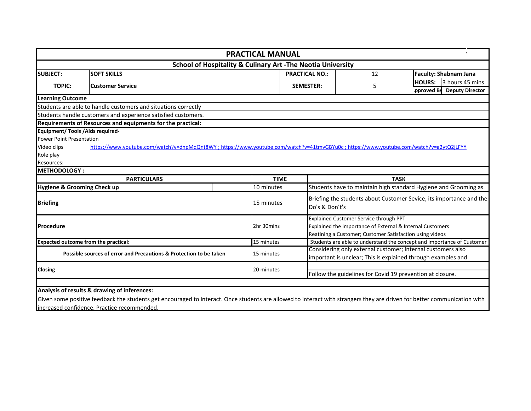|                                                                    |                                                                                                                                       | <b>PRACTICAL MANUAL</b>                                                |                                                           |                                                                                                                                                                 |                                                                                 |  |
|--------------------------------------------------------------------|---------------------------------------------------------------------------------------------------------------------------------------|------------------------------------------------------------------------|-----------------------------------------------------------|-----------------------------------------------------------------------------------------------------------------------------------------------------------------|---------------------------------------------------------------------------------|--|
|                                                                    |                                                                                                                                       | <b>School of Hospitality &amp; Culinary Art -The Neotia University</b> |                                                           |                                                                                                                                                                 |                                                                                 |  |
| <b>SUBJECT:</b>                                                    | <b>SOFT SKILLS</b>                                                                                                                    |                                                                        |                                                           | 12                                                                                                                                                              | <b>Faculty: Shabnam Jana</b>                                                    |  |
| <b>TOPIC:</b>                                                      | <b>Customer Service</b>                                                                                                               |                                                                        |                                                           | 5                                                                                                                                                               | 3 hours 45 mins<br><b>HOURS:</b><br><b>Deputy Director</b><br><b>pproved By</b> |  |
| <b>Learning Outcome</b>                                            |                                                                                                                                       |                                                                        |                                                           |                                                                                                                                                                 |                                                                                 |  |
|                                                                    | Students are able to handle customers and situations correctly                                                                        |                                                                        |                                                           |                                                                                                                                                                 |                                                                                 |  |
|                                                                    | Students handle customers and experience satisfied customers.                                                                         |                                                                        |                                                           |                                                                                                                                                                 |                                                                                 |  |
|                                                                    | Requirements of Resources and equipments for the practical:                                                                           |                                                                        |                                                           |                                                                                                                                                                 |                                                                                 |  |
| <b>Equipment/ Tools / Aids required-</b>                           |                                                                                                                                       |                                                                        |                                                           |                                                                                                                                                                 |                                                                                 |  |
| <b>Power Point Presentation</b>                                    |                                                                                                                                       |                                                                        |                                                           |                                                                                                                                                                 |                                                                                 |  |
| Video clips                                                        | https://www.youtube.com/watch?v=dnpMqQnt8WY; https://www.youtube.com/watch?v=41tmvGBYu0c; https://www.youtube.com/watch?v=a2ytQ2jLFYY |                                                                        |                                                           |                                                                                                                                                                 |                                                                                 |  |
| Role play                                                          |                                                                                                                                       |                                                                        |                                                           |                                                                                                                                                                 |                                                                                 |  |
| Resources:                                                         |                                                                                                                                       |                                                                        |                                                           |                                                                                                                                                                 |                                                                                 |  |
| <b>IMETHODOLOGY:</b>                                               |                                                                                                                                       |                                                                        |                                                           |                                                                                                                                                                 |                                                                                 |  |
|                                                                    | <b>PARTICULARS</b>                                                                                                                    | <b>TIME</b>                                                            |                                                           | <b>TASK</b>                                                                                                                                                     |                                                                                 |  |
| Hygiene & Grooming Check up                                        |                                                                                                                                       | 10 minutes                                                             |                                                           |                                                                                                                                                                 | Students have to maintain high standard Hygiene and Grooming as                 |  |
| <b>Briefing</b>                                                    |                                                                                                                                       | 15 minutes                                                             |                                                           | Briefing the students about Customer Sevice, its importance and the<br>Do's & Don't's                                                                           |                                                                                 |  |
| Procedure                                                          |                                                                                                                                       | 2hr 30mins                                                             |                                                           | Explained Customer Service through PPT<br>Explained the importance of External & Internal Customers<br>Reatining a Customer; Customer Satisfaction using videos |                                                                                 |  |
|                                                                    | <b>Expected outcome from the practical:</b>                                                                                           | 15 minutes                                                             |                                                           |                                                                                                                                                                 | Students are able to understand the concept and importance of Customer          |  |
| Possible sources of error and Precautions & Protection to be taken |                                                                                                                                       | 15 minutes                                                             |                                                           | Considering only external customer; Internal customers also<br>important is unclear; This is explained through examples and                                     |                                                                                 |  |
| Closing                                                            |                                                                                                                                       | 20 minutes                                                             | Follow the guidelines for Covid 19 prevention at closure. |                                                                                                                                                                 |                                                                                 |  |
|                                                                    | Analysis of results & drawing of inferences:                                                                                          |                                                                        |                                                           |                                                                                                                                                                 |                                                                                 |  |

Given some positive feedback the students get encouraged to interact. Once students are allowed to interact with strangers they are driven for better communication with increased confidence. Practice recommended.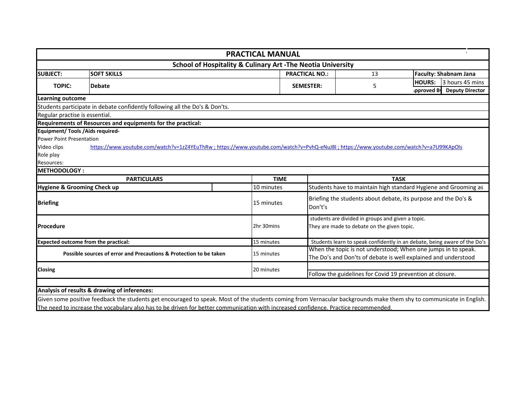|                                                                    |                                                                                                                                     |            | <b>PRACTICAL MANUAL</b>                                                                                                         |                                                           |                                                                                                  |                                                                           |
|--------------------------------------------------------------------|-------------------------------------------------------------------------------------------------------------------------------------|------------|---------------------------------------------------------------------------------------------------------------------------------|-----------------------------------------------------------|--------------------------------------------------------------------------------------------------|---------------------------------------------------------------------------|
|                                                                    |                                                                                                                                     |            | <b>School of Hospitality &amp; Culinary Art -The Neotia University</b>                                                          |                                                           |                                                                                                  |                                                                           |
| <b>SUBJECT:</b>                                                    | <b>SOFT SKILLS</b>                                                                                                                  |            |                                                                                                                                 | <b>PRACTICAL NO.:</b><br>13                               |                                                                                                  | <b>Faculty: Shabnam Jana</b>                                              |
| <b>TOPIC:</b>                                                      | <b>Debate</b>                                                                                                                       |            |                                                                                                                                 | <b>SEMESTER:</b>                                          | 5                                                                                                | <b>HOURS:</b><br>l3 hours 45 mins<br>pproved By<br><b>Deputy Director</b> |
| <b>Learning outcome</b>                                            |                                                                                                                                     |            |                                                                                                                                 |                                                           |                                                                                                  |                                                                           |
|                                                                    | Students participate in debate confidently following all the Do's & Don'ts.                                                         |            |                                                                                                                                 |                                                           |                                                                                                  |                                                                           |
| Regular practise is essential.                                     |                                                                                                                                     |            |                                                                                                                                 |                                                           |                                                                                                  |                                                                           |
|                                                                    | Requirements of Resources and equipments for the practical:                                                                         |            |                                                                                                                                 |                                                           |                                                                                                  |                                                                           |
| <b>Equipment/ Tools / Aids required-</b>                           |                                                                                                                                     |            |                                                                                                                                 |                                                           |                                                                                                  |                                                                           |
| <b>Power Point Presentation</b>                                    |                                                                                                                                     |            |                                                                                                                                 |                                                           |                                                                                                  |                                                                           |
| Video clips                                                        | https://www.youtube.com/watch?v=1zZ4YEuThRw;https://www.youtube.com/watch?v=PvhQ-eNuJ8I;https://www.youtube.com/watch?v=a7U99KApOls |            |                                                                                                                                 |                                                           |                                                                                                  |                                                                           |
| Role play                                                          |                                                                                                                                     |            |                                                                                                                                 |                                                           |                                                                                                  |                                                                           |
| Resources:                                                         |                                                                                                                                     |            |                                                                                                                                 |                                                           |                                                                                                  |                                                                           |
| <b>METHODOLOGY:</b>                                                |                                                                                                                                     |            |                                                                                                                                 |                                                           |                                                                                                  |                                                                           |
|                                                                    | <b>PARTICULARS</b>                                                                                                                  |            | <b>TIME</b>                                                                                                                     |                                                           |                                                                                                  | <b>TASK</b>                                                               |
| Hygiene & Grooming Check up                                        |                                                                                                                                     |            | 10 minutes                                                                                                                      |                                                           |                                                                                                  | Students have to maintain high standard Hygiene and Grooming as           |
| <b>Briefing</b>                                                    |                                                                                                                                     | 15 minutes | Briefing the students about debate, its purpose and the Do's &<br>Don't's                                                       |                                                           |                                                                                                  |                                                                           |
| Procedure                                                          |                                                                                                                                     |            | 2hr 30mins                                                                                                                      |                                                           | students are divided in groups and given a topic.<br>They are made to debate on the given topic. |                                                                           |
| <b>Expected outcome from the practical:</b>                        |                                                                                                                                     |            | 15 minutes                                                                                                                      |                                                           |                                                                                                  | Students learn to speak confidently in an debate, being aware of the Do's |
| Possible sources of error and Precautions & Protection to be taken |                                                                                                                                     | 15 minutes | When the topic is not understood; When one jumps in to speak.<br>The Do's and Don'ts of debate is well explained and understood |                                                           |                                                                                                  |                                                                           |
| <b>Closing</b>                                                     |                                                                                                                                     | 20 minutes |                                                                                                                                 | Follow the guidelines for Covid 19 prevention at closure. |                                                                                                  |                                                                           |
|                                                                    |                                                                                                                                     |            |                                                                                                                                 |                                                           |                                                                                                  |                                                                           |
|                                                                    | Analysis of results & drawing of inferences:                                                                                        |            |                                                                                                                                 |                                                           |                                                                                                  |                                                                           |

Given some positive feedback the students get encouraged to speak. Most of the students coming from Vernacular backgrounds make them shy to communicate in English. The need to increase the vocabulary also has to be driven for better communication with increased confidence. Practice recommended.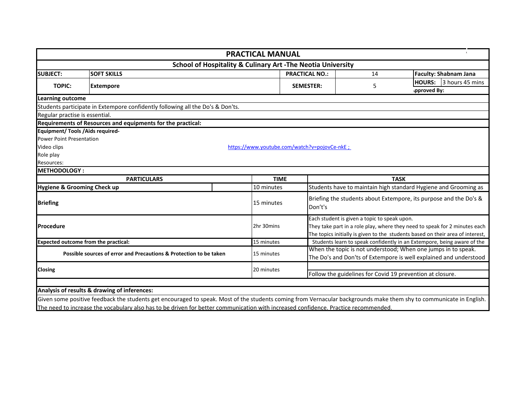|                                                                    |                                                                                | <b>PRACTICAL MANUAL</b>                                                |                                                           |                                                                                                                                                                                                              |                              |                              |
|--------------------------------------------------------------------|--------------------------------------------------------------------------------|------------------------------------------------------------------------|-----------------------------------------------------------|--------------------------------------------------------------------------------------------------------------------------------------------------------------------------------------------------------------|------------------------------|------------------------------|
|                                                                    |                                                                                | <b>School of Hospitality &amp; Culinary Art -The Neotia University</b> |                                                           |                                                                                                                                                                                                              |                              |                              |
| <b>SUBJECT:</b>                                                    | <b>SOFT SKILLS</b><br><b>PRACTICAL NO.:</b>                                    |                                                                        |                                                           | 14                                                                                                                                                                                                           |                              | <b>Faculty: Shabnam Jana</b> |
| <b>TOPIC:</b>                                                      | <b>Extempore</b>                                                               |                                                                        | <b>SEMESTER:</b>                                          | 5                                                                                                                                                                                                            | <b>HOURS:</b><br>pproved By: | 3 hours 45 mins              |
| <b>Learning outcome</b>                                            |                                                                                |                                                                        |                                                           |                                                                                                                                                                                                              |                              |                              |
|                                                                    | Students participate in Extempore confidently following all the Do's & Don'ts. |                                                                        |                                                           |                                                                                                                                                                                                              |                              |                              |
| Regular practise is essential.                                     |                                                                                |                                                                        |                                                           |                                                                                                                                                                                                              |                              |                              |
|                                                                    | Requirements of Resources and equipments for the practical:                    |                                                                        |                                                           |                                                                                                                                                                                                              |                              |                              |
| <b>Equipment/ Tools / Aids required-</b>                           |                                                                                |                                                                        |                                                           |                                                                                                                                                                                                              |                              |                              |
| <b>Power Point Presentation</b>                                    |                                                                                |                                                                        |                                                           |                                                                                                                                                                                                              |                              |                              |
| Video clips                                                        |                                                                                | https://www.youtube.com/watch?v=pojovCe-nkE;                           |                                                           |                                                                                                                                                                                                              |                              |                              |
| Role play                                                          |                                                                                |                                                                        |                                                           |                                                                                                                                                                                                              |                              |                              |
| Resources:                                                         |                                                                                |                                                                        |                                                           |                                                                                                                                                                                                              |                              |                              |
| <b>METHODOLOGY:</b>                                                |                                                                                |                                                                        |                                                           |                                                                                                                                                                                                              |                              |                              |
|                                                                    | <b>PARTICULARS</b>                                                             |                                                                        | <b>TIME</b>                                               |                                                                                                                                                                                                              | <b>TASK</b>                  |                              |
| Hygiene & Grooming Check up                                        |                                                                                | 10 minutes                                                             |                                                           | Students have to maintain high standard Hygiene and Grooming as                                                                                                                                              |                              |                              |
| <b>Briefing</b>                                                    |                                                                                | 15 minutes                                                             |                                                           | Briefing the students about Extempore, its purpose and the Do's &<br>Don't's                                                                                                                                 |                              |                              |
| Procedure                                                          |                                                                                | 2hr 30mins                                                             |                                                           | Each student is given a topic to speak upon.<br>They take part in a role play, where they need to speak for 2 minutes each<br>The topics initially is given to the students based on their area of interest, |                              |                              |
| <b>Expected outcome from the practical:</b>                        |                                                                                | 15 minutes                                                             |                                                           | Students learn to speak confidently in an Extempore, being aware of the                                                                                                                                      |                              |                              |
| Possible sources of error and Precautions & Protection to be taken |                                                                                | 15 minutes                                                             |                                                           | When the topic is not understood; When one jumps in to speak.<br>The Do's and Don'ts of Extempore is well explained and understood                                                                           |                              |                              |
| Closing                                                            |                                                                                | 20 minutes                                                             | Follow the guidelines for Covid 19 prevention at closure. |                                                                                                                                                                                                              |                              |                              |
|                                                                    |                                                                                |                                                                        |                                                           |                                                                                                                                                                                                              |                              |                              |
|                                                                    | Analysis of results & drawing of inferences:                                   |                                                                        |                                                           |                                                                                                                                                                                                              |                              |                              |

Given some positive feedback the students get encouraged to speak. Most of the students coming from Vernacular backgrounds make them shy to communicate in English. The need to increase the vocabulary also has to be driven for better communication with increased confidence. Practice recommended.